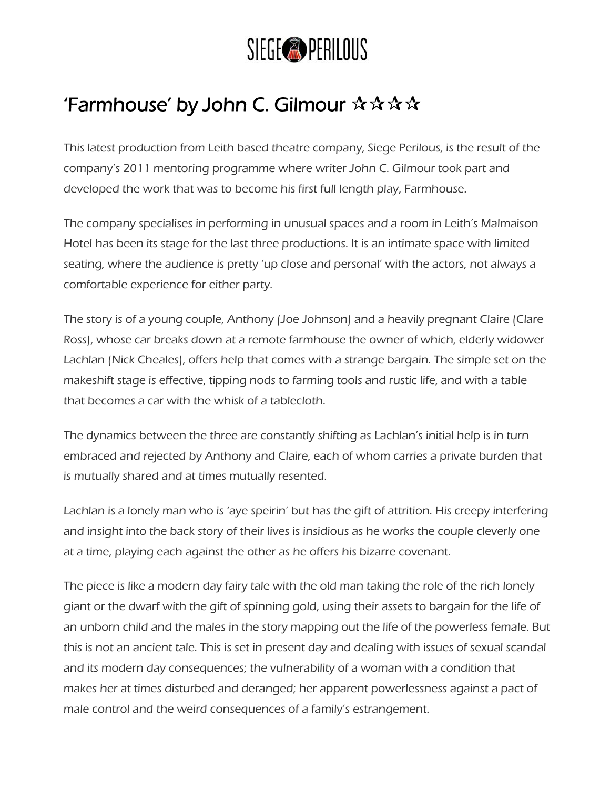

## 'Farmhouse' by John C. Gilmour  $\mathbf{\hat{x}} \mathbf{\hat{x}} \mathbf{\hat{x}}$

This latest production from Leith based theatre company, Siege Perilous, is the result of the company's 2011 mentoring programme where writer John C. Gilmour took part and developed the work that was to become his first full length play, Farmhouse.

The company specialises in performing in unusual spaces and a room in Leith's Malmaison Hotel has been its stage for the last three productions. It is an intimate space with limited seating, where the audience is pretty 'up close and personal' with the actors, not always a comfortable experience for either party.

The story is of a young couple, Anthony (Joe Johnson) and a heavily pregnant Claire (Clare Ross), whose car breaks down at a remote farmhouse the owner of which, elderly widower Lachlan (Nick Cheales), offers help that comes with a strange bargain. The simple set on the makeshift stage is effective, tipping nods to farming tools and rustic life, and with a table that becomes a car with the whisk of a tablecloth.

The dynamics between the three are constantly shifting as Lachlan's initial help is in turn embraced and rejected by Anthony and Claire, each of whom carries a private burden that is mutually shared and at times mutually resented.

Lachlan is a lonely man who is 'aye speirin' but has the gift of attrition. His creepy interfering and insight into the back story of their lives is insidious as he works the couple cleverly one at a time, playing each against the other as he offers his bizarre covenant.

The piece is like a modern day fairy tale with the old man taking the role of the rich lonely giant or the dwarf with the gift of spinning gold, using their assets to bargain for the life of an unborn child and the males in the story mapping out the life of the powerless female. But this is not an ancient tale. This is set in present day and dealing with issues of sexual scandal and its modern day consequences; the vulnerability of a woman with a condition that makes her at times disturbed and deranged; her apparent powerlessness against a pact of male control and the weird consequences of a family's estrangement.